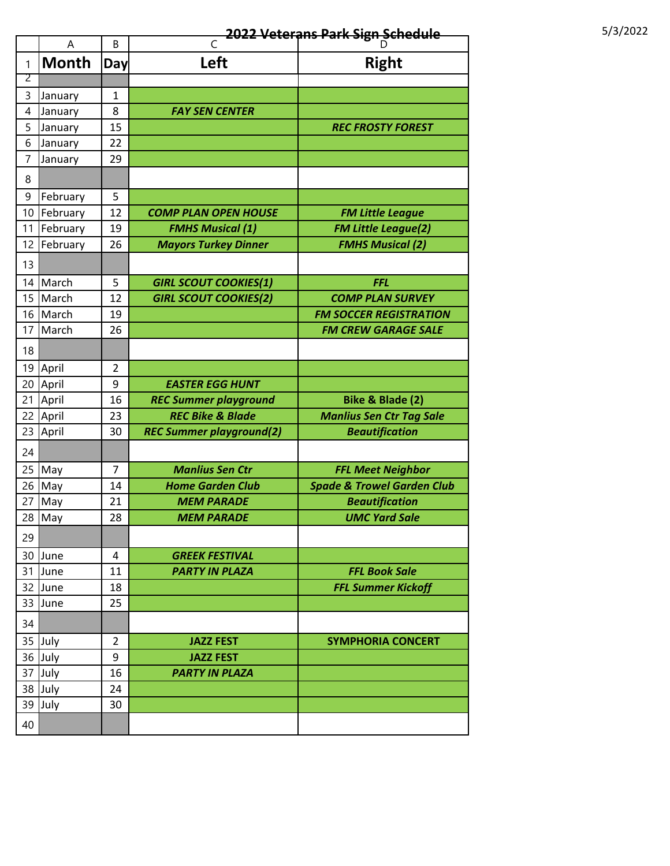## **2022 Veterans Park Sign Schedule** 5/3/2022

|                | Α            | B                   | C                                         | D                                                        |
|----------------|--------------|---------------------|-------------------------------------------|----------------------------------------------------------|
| 1              | <b>Month</b> | Day                 | Left                                      | <b>Right</b>                                             |
| $\overline{2}$ |              |                     |                                           |                                                          |
| 3              | January      | 1                   |                                           |                                                          |
| 4              | January      | 8                   | <b>FAY SEN CENTER</b>                     |                                                          |
| 5              | January      | 15                  |                                           | <b>REC FROSTY FOREST</b>                                 |
| 6              | January      | 22                  |                                           |                                                          |
| 7              | January      | 29                  |                                           |                                                          |
| 8              |              |                     |                                           |                                                          |
| 9              | February     | 5                   |                                           |                                                          |
| 10             | February     | 12                  | <b>COMP PLAN OPEN HOUSE</b>               | <b>FM Little League</b>                                  |
| 11             | February     | 19                  | <b>FMHS Musical (1)</b>                   | <b>FM Little League(2)</b>                               |
| 12             | February     | 26                  | <b>Mayors Turkey Dinner</b>               | <b>FMHS Musical (2)</b>                                  |
| 13             |              |                     |                                           |                                                          |
| 14             | March        | 5                   |                                           | <b>FFL</b>                                               |
|                | March        |                     | <b>GIRL SCOUT COOKIES(1)</b>              |                                                          |
| 15<br>16       | March        | 12<br>19            | <b>GIRL SCOUT COOKIES(2)</b>              | <b>COMP PLAN SURVEY</b><br><b>FM SOCCER REGISTRATION</b> |
| 17             | March        | 26                  |                                           | <b>FM CREW GARAGE SALE</b>                               |
|                |              |                     |                                           |                                                          |
| 18             |              |                     |                                           |                                                          |
| 19             | April        | $\overline{2}$      |                                           |                                                          |
| 20             | April        | 9                   | <b>EASTER EGG HUNT</b>                    |                                                          |
| 21             | April        | 16                  | <b>REC Summer playground</b>              | Bike & Blade (2)                                         |
| 22             | April        | 23                  | <b>REC Bike &amp; Blade</b>               | <b>Manlius Sen Ctr Tag Sale</b>                          |
| 23             | April        | 30                  | <b>REC Summer playground(2)</b>           | <b>Beautification</b>                                    |
| 24             |              |                     |                                           |                                                          |
| 25             | May          | $\overline{7}$      | <b>Manlius Sen Ctr</b>                    | <b>FFL Meet Neighbor</b>                                 |
| 26             | May          | 14                  | <b>Home Garden Club</b>                   | <b>Spade &amp; Trowel Garden Club</b>                    |
| 27             | May          | 21                  | <b>MEM PARADE</b>                         | <b>Beautification</b>                                    |
| 28             | May          | 28                  | <b>MEM PARADE</b>                         | <b>UMC Yard Sale</b>                                     |
| 29             |              |                     |                                           |                                                          |
| 30             | June         | $\overline{4}$      | <b>GREEK FESTIVAL</b>                     |                                                          |
| 31             | June         | 11                  | <b>PARTY IN PLAZA</b>                     | <b>FFL Book Sale</b>                                     |
| 32             | June         | 18                  |                                           | <b>FFL Summer Kickoff</b>                                |
| 33             | June         | 25                  |                                           |                                                          |
| 34             |              |                     |                                           |                                                          |
|                |              |                     |                                           |                                                          |
| 35<br>36       | July<br>July | $\overline{2}$<br>9 | <b>JAZZ FEST</b>                          | <b>SYMPHORIA CONCERT</b>                                 |
| 37             |              |                     | <b>JAZZ FEST</b><br><b>PARTY IN PLAZA</b> |                                                          |
|                | July         | 16                  |                                           |                                                          |
| 38<br>39       | July         | 24                  |                                           |                                                          |
|                | July         | 30                  |                                           |                                                          |
| 40             |              |                     |                                           |                                                          |